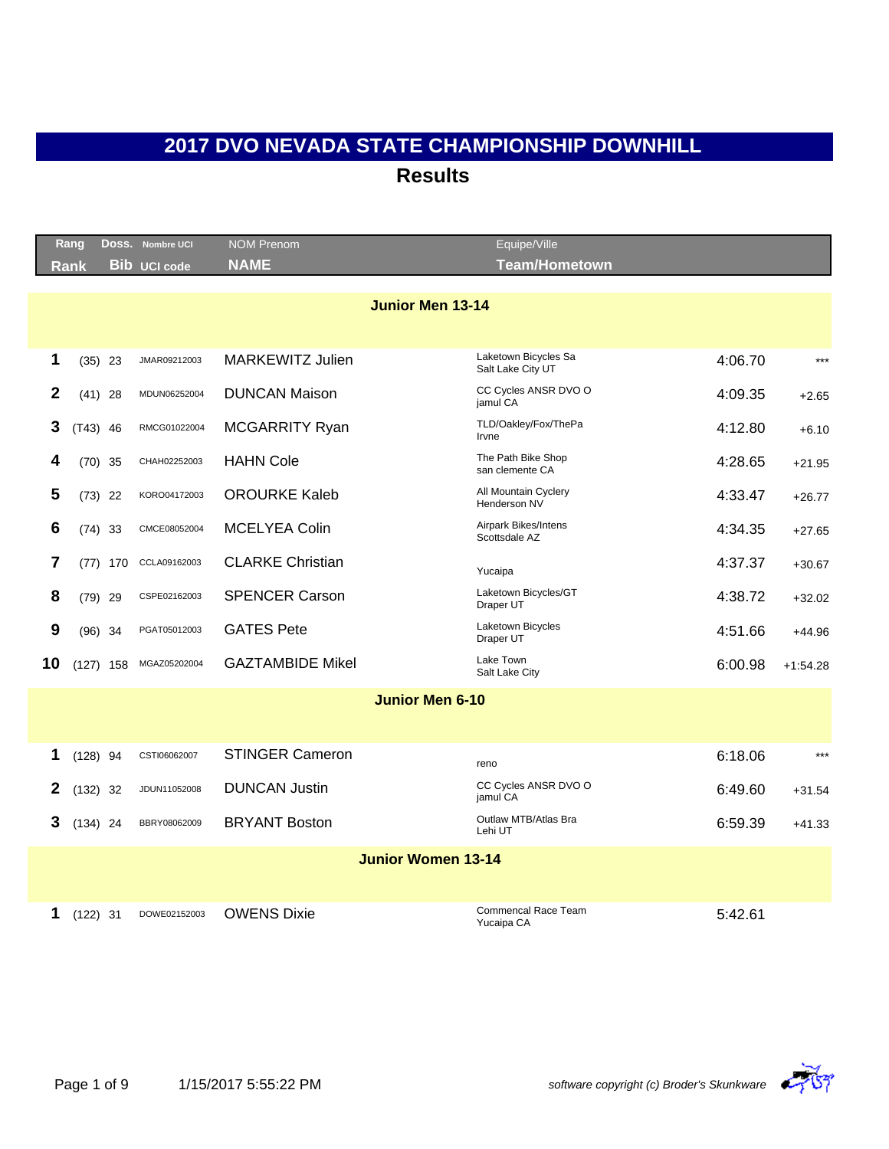|              | Rang        |     | DOSS. Nombre UCI    | <b>NOM Prenom</b>         | Equipe/Ville                              |         |            |
|--------------|-------------|-----|---------------------|---------------------------|-------------------------------------------|---------|------------|
|              | Rank        |     | <b>Bib UCI code</b> | <b>NAME</b>               | <b>Team/Hometown</b>                      |         |            |
|              |             |     |                     | <b>Junior Men 13-14</b>   |                                           |         |            |
|              |             |     |                     |                           |                                           |         |            |
| 1            | $(35)$ 23   |     | JMAR09212003        | <b>MARKEWITZ Julien</b>   | Laketown Bicycles Sa<br>Salt Lake City UT | 4:06.70 | $***$      |
| $\mathbf{2}$ | $(41)$ 28   |     | MDUN06252004        | <b>DUNCAN Maison</b>      | CC Cycles ANSR DVO O<br>jamul CA          | 4:09.35 | $+2.65$    |
| 3            | $(T43)$ 46  |     | RMCG01022004        | MCGARRITY Ryan            | TLD/Oakley/Fox/ThePa<br>Irvne             | 4:12.80 | $+6.10$    |
| 4            | $(70)$ 35   |     | CHAH02252003        | <b>HAHN Cole</b>          | The Path Bike Shop<br>san clemente CA     | 4:28.65 | $+21.95$   |
| 5            | $(73)$ 22   |     | KORO04172003        | <b>OROURKE Kaleb</b>      | All Mountain Cyclery<br>Henderson NV      | 4:33.47 | $+26.77$   |
| 6            | $(74)$ 33   |     | CMCE08052004        | <b>MCELYEA Colin</b>      | Airpark Bikes/Intens<br>Scottsdale AZ     | 4:34.35 | $+27.65$   |
| 7            | (77)        | 170 | CCLA09162003        | <b>CLARKE Christian</b>   | Yucaipa                                   | 4:37.37 | $+30.67$   |
| 8            | $(79)$ 29   |     | CSPE02162003        | <b>SPENCER Carson</b>     | Laketown Bicycles/GT<br>Draper UT         | 4:38.72 | $+32.02$   |
| 9            | $(96)$ 34   |     | PGAT05012003        | <b>GATES Pete</b>         | Laketown Bicycles<br>Draper UT            | 4:51.66 | $+44.96$   |
| 10           | $(127)$ 158 |     | MGAZ05202004        | <b>GAZTAMBIDE Mikel</b>   | Lake Town<br>Salt Lake City               | 6:00.98 | $+1:54.28$ |
|              |             |     |                     | <b>Junior Men 6-10</b>    |                                           |         |            |
|              |             |     |                     |                           |                                           |         |            |
| 1            | $(128)$ 94  |     | CSTI06062007        | <b>STINGER Cameron</b>    | reno                                      | 6:18.06 | $***$      |
| 2            | (132)       | 32  | JDUN11052008        | <b>DUNCAN Justin</b>      | CC Cycles ANSR DVO O<br>jamul CA          | 6:49.60 | $+31.54$   |
| 3            | $(134)$ 24  |     | BBRY08062009        | <b>BRYANT Boston</b>      | Outlaw MTB/Atlas Bra<br>Lehi UT           | 6:59.39 | $+41.33$   |
|              |             |     |                     | <b>Junior Women 13-14</b> |                                           |         |            |
|              |             |     |                     |                           |                                           |         |            |
| 1            | $(122)$ 31  |     | DOWE02152003        | <b>OWENS Dixie</b>        | Commencal Race Team<br>Yucaipa CA         | 5:42.61 |            |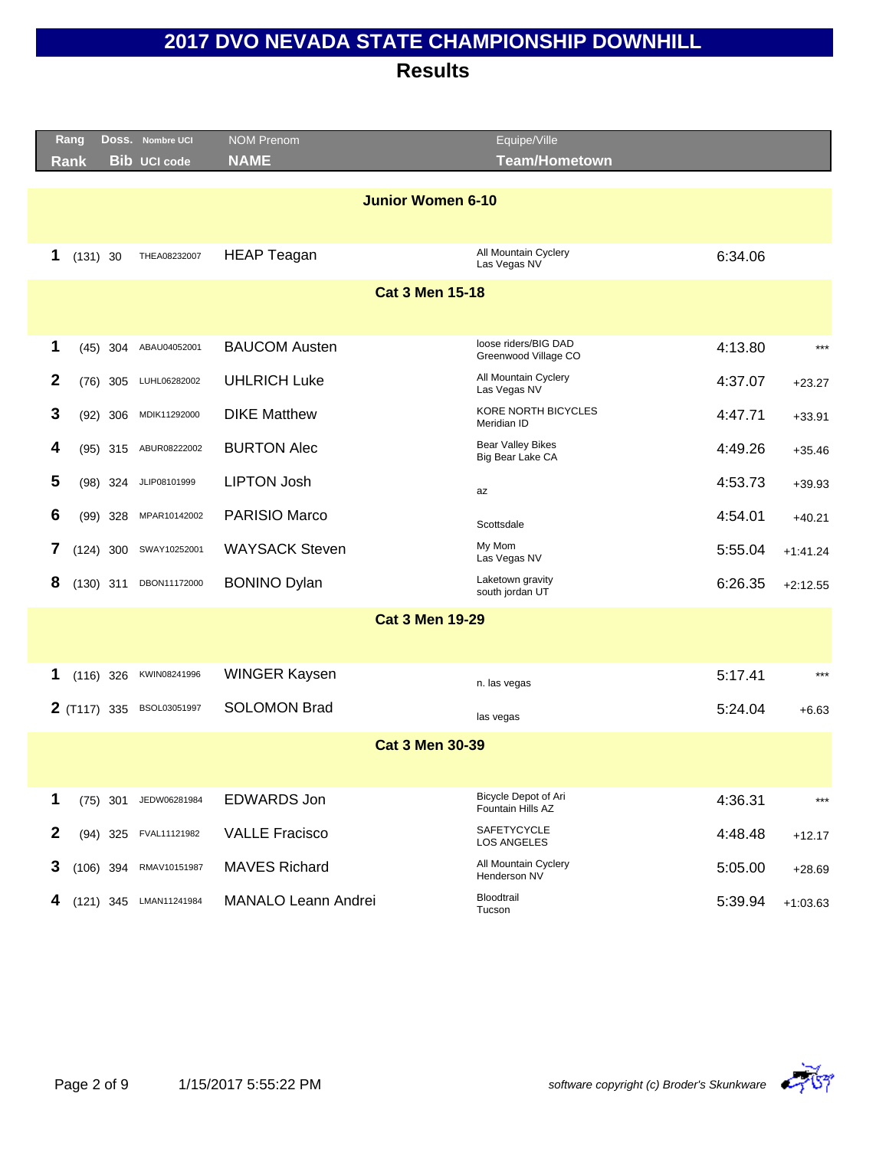|                  | Rang         |            | DOSS. Nombre UCI       | <b>NOM Prenom</b>          | Equipe/Ville                                 |         |            |
|------------------|--------------|------------|------------------------|----------------------------|----------------------------------------------|---------|------------|
|                  | <b>Rank</b>  |            | <b>Bib UCI code</b>    | <b>NAME</b>                | <b>Team/Hometown</b>                         |         |            |
|                  |              |            |                        | <b>Junior Women 6-10</b>   |                                              |         |            |
| 1                | (131) 30     |            | THEA08232007           | <b>HEAP Teagan</b>         | All Mountain Cyclery<br>Las Vegas NV         | 6:34.06 |            |
|                  |              |            |                        | <b>Cat 3 Men 15-18</b>     |                                              |         |            |
| 1                |              | $(45)$ 304 | ABAU04052001           | <b>BAUCOM Austen</b>       | loose riders/BIG DAD<br>Greenwood Village CO | 4:13.80 | $***$      |
| 2                |              | $(76)$ 305 | LUHL06282002           | <b>UHLRICH Luke</b>        | All Mountain Cyclery<br>Las Vegas NV         | 4:37.07 | $+23.27$   |
| 3                |              | $(92)$ 306 | MDIK11292000           | <b>DIKE Matthew</b>        | <b>KORE NORTH BICYCLES</b><br>Meridian ID    | 4:47.71 | $+33.91$   |
| 4                |              | $(95)$ 315 | ABUR08222002           | <b>BURTON Alec</b>         | <b>Bear Valley Bikes</b><br>Big Bear Lake CA | 4:49.26 | $+35.46$   |
| 5                |              | $(98)$ 324 | JLIP08101999           | <b>LIPTON Josh</b>         | az                                           | 4:53.73 | $+39.93$   |
| 6                |              | $(99)$ 328 | MPAR10142002           | PARISIO Marco              | Scottsdale                                   | 4:54.01 | $+40.21$   |
| 7                | (124) 300    |            | SWAY10252001           | <b>WAYSACK Steven</b>      | My Mom<br>Las Vegas NV                       | 5:55.04 | $+1:41.24$ |
| 8                | $(130)$ 311  |            | DBON11172000           | <b>BONINO Dylan</b>        | Laketown gravity<br>south jordan UT          | 6:26.35 | $+2:12.55$ |
|                  |              |            |                        | <b>Cat 3 Men 19-29</b>     |                                              |         |            |
|                  |              |            |                        |                            |                                              |         |            |
| 1                | $(116)$ 326  |            | KWIN08241996           | <b>WINGER Kaysen</b>       | n. las vegas                                 | 5:17.41 | $***$      |
|                  | 2 (T117) 335 |            | BSOL03051997           | <b>SOLOMON Brad</b>        | las vegas                                    | 5:24.04 | $+6.63$    |
|                  |              |            |                        | <b>Cat 3 Men 30-39</b>     |                                              |         |            |
| 1                |              | $(75)$ 301 | JEDW06281984           | <b>EDWARDS Jon</b>         | Bicycle Depot of Ari<br>Fountain Hills AZ    | 4:36.31 | ***        |
| $\boldsymbol{2}$ |              | $(94)$ 325 | FVAL11121982           | <b>VALLE Fracisco</b>      | SAFETYCYCLE<br>LOS ANGELES                   | 4:48.48 | $+12.17$   |
| 3                | $(106)$ 394  |            | RMAV10151987           | <b>MAVES Richard</b>       | All Mountain Cyclery<br>Henderson NV         | 5:05.00 | $+28.69$   |
| 4                |              |            | (121) 345 LMAN11241984 | <b>MANALO Leann Andrei</b> | Bloodtrail<br>Tucson                         | 5:39.94 | $+1:03.63$ |

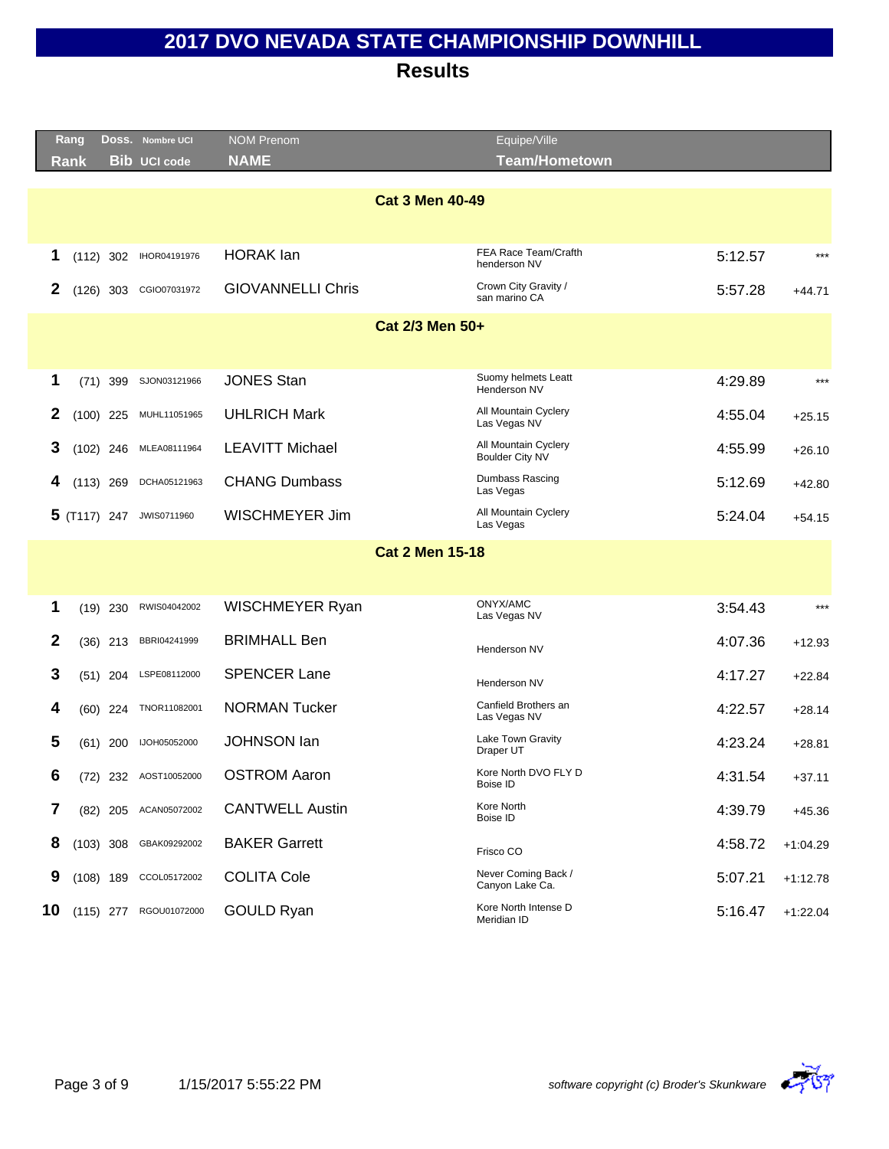|    | Rang        |            | DOSS. Nombre UCI         | <b>NOM Prenom</b>        |                        | Equipe/Ville                            |         |            |
|----|-------------|------------|--------------------------|--------------------------|------------------------|-----------------------------------------|---------|------------|
|    | Rank        |            | <b>Bib UCI code</b>      | <b>NAME</b>              |                        | <b>Team/Hometown</b>                    |         |            |
|    |             |            |                          |                          |                        |                                         |         |            |
|    |             |            |                          |                          | <b>Cat 3 Men 40-49</b> |                                         |         |            |
|    |             |            |                          |                          |                        |                                         |         |            |
| 1  | $(112)$ 302 |            | IHOR04191976             | <b>HORAK</b> lan         |                        | FEA Race Team/Crafth<br>henderson NV    | 5:12.57 | $***$      |
| 2  | $(126)$ 303 |            | CGIO07031972             | <b>GIOVANNELLI Chris</b> |                        | Crown City Gravity /<br>san marino CA   | 5:57.28 | $+44.71$   |
|    |             |            |                          |                          | Cat 2/3 Men 50+        |                                         |         |            |
|    |             |            |                          |                          |                        |                                         |         |            |
| 1  |             | $(71)$ 399 | SJON03121966             | <b>JONES Stan</b>        |                        | Suomy helmets Leatt<br>Henderson NV     | 4:29.89 | $***$      |
| 2  | $(100)$ 225 |            | MUHL11051965             | <b>UHLRICH Mark</b>      |                        | All Mountain Cyclery<br>Las Vegas NV    | 4:55.04 | $+25.15$   |
| 3  | $(102)$ 246 |            | MLEA08111964             | <b>LEAVITT Michael</b>   |                        | All Mountain Cyclery<br>Boulder City NV | 4:55.99 | $+26.10$   |
| 4  | $(113)$ 269 |            | DCHA05121963             | <b>CHANG Dumbass</b>     |                        | Dumbass Rascing<br>Las Vegas            | 5:12.69 | $+42.80$   |
|    |             |            | 5 (T117) 247 JWIS0711960 | <b>WISCHMEYER Jim</b>    |                        | All Mountain Cyclery<br>Las Vegas       | 5:24.04 | $+54.15$   |
|    |             |            |                          |                          | <b>Cat 2 Men 15-18</b> |                                         |         |            |
|    |             |            |                          |                          |                        |                                         |         |            |
|    |             |            |                          |                          |                        | ONYX/AMC                                |         |            |
| 1  | $(19)$ 230  |            | RWIS04042002             | WISCHMEYER Ryan          |                        | Las Vegas NV                            | 3:54.43 | $***$      |
| 2  |             | $(36)$ 213 | BBRI04241999             | <b>BRIMHALL Ben</b>      |                        | Henderson NV                            | 4:07.36 | $+12.93$   |
| 3  |             | $(51)$ 204 | LSPE08112000             | <b>SPENCER Lane</b>      |                        | Henderson NV                            | 4:17.27 | $+22.84$   |
| 4  |             | $(60)$ 224 | TNOR11082001             | <b>NORMAN Tucker</b>     |                        | Canfield Brothers an<br>Las Vegas NV    | 4:22.57 | $+28.14$   |
| 5  | $(61)$ 200  |            | IJOH05052000             | <b>JOHNSON lan</b>       |                        | Lake Town Gravity<br>Draper UT          | 4:23.24 | $+28.81$   |
| 6  |             |            | (72) 232 AOST10052000    | <b>OSTROM Aaron</b>      |                        | Kore North DVO FLY D<br>Boise ID        | 4:31.54 | $+37.11$   |
| 7  |             | $(82)$ 205 | ACAN05072002             | <b>CANTWELL Austin</b>   |                        | Kore North<br>Boise ID                  | 4:39.79 | $+45.36$   |
| 8  | $(103)$ 308 |            | GBAK09292002             | <b>BAKER Garrett</b>     |                        | Frisco CO                               | 4:58.72 | $+1:04.29$ |
| 9  | $(108)$ 189 |            | CCOL05172002             | <b>COLITA Cole</b>       |                        | Never Coming Back /<br>Canyon Lake Ca.  | 5:07.21 | $+1:12.78$ |
| 10 | $(115)$ 277 |            | RGOU01072000             | GOULD Ryan               |                        | Kore North Intense D<br>Meridian ID     | 5:16.47 | $+1:22.04$ |
|    |             |            |                          |                          |                        |                                         |         |            |

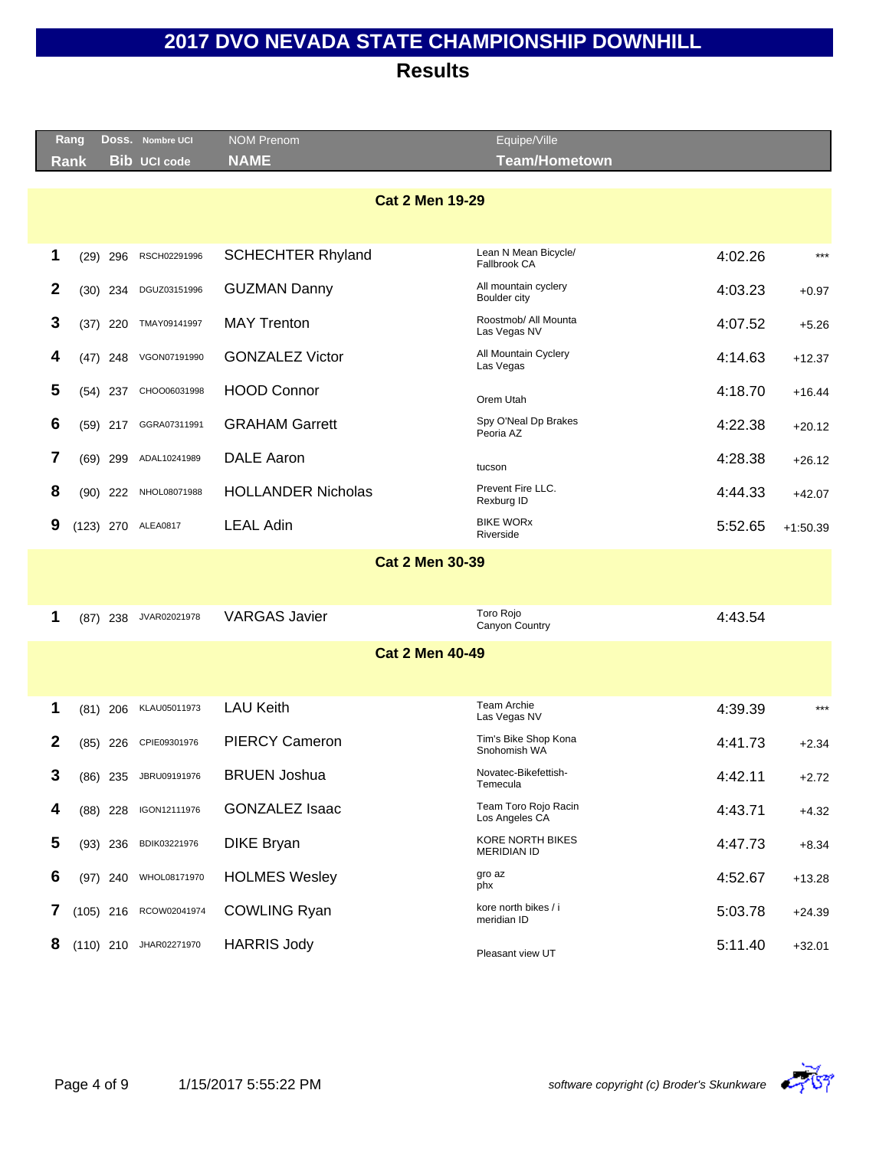| Rang |      |            | Doss. Nombre UCI       | <b>NOM Prenom</b>         | Equipe/Ville                                  |         |            |
|------|------|------------|------------------------|---------------------------|-----------------------------------------------|---------|------------|
| Rank |      |            | <b>Bib UCI code</b>    | <b>NAME</b>               | <b>Team/Hometown</b>                          |         |            |
|      |      |            |                        |                           |                                               |         |            |
|      |      |            |                        | <b>Cat 2 Men 19-29</b>    |                                               |         |            |
|      |      |            |                        |                           |                                               |         |            |
| 1    | (29) | 296        | RSCH02291996           | <b>SCHECHTER Rhyland</b>  | Lean N Mean Bicycle/<br>Fallbrook CA          | 4:02.26 | $***$      |
| 2    | (30) | 234        | DGUZ03151996           | <b>GUZMAN Danny</b>       | All mountain cyclery<br>Boulder city          | 4:03.23 | $+0.97$    |
| 3    | (37) | 220        | TMAY09141997           | <b>MAY Trenton</b>        | Roostmob/ All Mounta<br>Las Vegas NV          | 4:07.52 | $+5.26$    |
| 4    |      | $(47)$ 248 | VGON07191990           | <b>GONZALEZ Victor</b>    | All Mountain Cyclery<br>Las Vegas             | 4:14.63 | $+12.37$   |
| 5    |      | $(54)$ 237 | CHOO06031998           | <b>HOOD Connor</b>        | Orem Utah                                     | 4:18.70 | $+16.44$   |
| 6    |      | $(59)$ 217 | GGRA07311991           | <b>GRAHAM Garrett</b>     | Spy O'Neal Dp Brakes<br>Peoria AZ             | 4:22.38 | $+20.12$   |
| 7    |      | $(69)$ 299 | ADAL10241989           | <b>DALE Aaron</b>         | tucson                                        | 4:28.38 | $+26.12$   |
| 8    |      | $(90)$ 222 | NHOL08071988           | <b>HOLLANDER Nicholas</b> | Prevent Fire LLC.<br>Rexburg ID               | 4:44.33 | $+42.07$   |
| 9    |      |            | (123) 270 ALEA0817     | <b>LEAL Adin</b>          | <b>BIKE WORX</b><br>Riverside                 | 5:52.65 | $+1:50.39$ |
|      |      |            |                        | <b>Cat 2 Men 30-39</b>    |                                               |         |            |
|      |      |            |                        |                           |                                               |         |            |
| 1    |      | $(87)$ 238 | JVAR02021978           | <b>VARGAS Javier</b>      | Toro Rojo<br>Canyon Country                   | 4:43.54 |            |
|      |      |            |                        | <b>Cat 2 Men 40-49</b>    |                                               |         |            |
|      |      |            |                        |                           |                                               |         |            |
| 1    |      | $(81)$ 206 | KLAU05011973           | <b>LAU Keith</b>          | <b>Team Archie</b><br>Las Vegas NV            | 4:39.39 | $***$      |
| 2    |      | $(85)$ 226 | CPIE09301976           | <b>PIERCY Cameron</b>     | Tim's Bike Shop Kona<br>Snohomish WA          | 4:41.73 | $+2.34$    |
| 3    |      | $(86)$ 235 | JBRU09191976           | <b>BRUEN Joshua</b>       | Novatec-Bikefettish-<br>Temecula              | 4:42.11 | $+2.72$    |
| 4    |      | $(88)$ 228 | IGON12111976           | <b>GONZALEZ Isaac</b>     | Team Toro Rojo Racin<br>Los Angeles CA        | 4:43.71 | $+4.32$    |
| 5    |      | $(93)$ 236 | BDIK03221976           | <b>DIKE Bryan</b>         | <b>KORE NORTH BIKES</b><br><b>MERIDIAN ID</b> | 4:47.73 | $+8.34$    |
| 6    |      |            | (97) 240 WHOL08171970  | <b>HOLMES Wesley</b>      | gro az<br>phx                                 | 4:52.67 | $+13.28$   |
| 7    |      |            | (105) 216 RCOW02041974 | <b>COWLING Ryan</b>       | kore north bikes / i<br>meridian ID           | 5:03.78 | $+24.39$   |
| 8    |      |            | (110) 210 JHAR02271970 | <b>HARRIS Jody</b>        | Pleasant view UT                              | 5:11.40 | $+32.01$   |
|      |      |            |                        |                           |                                               |         |            |

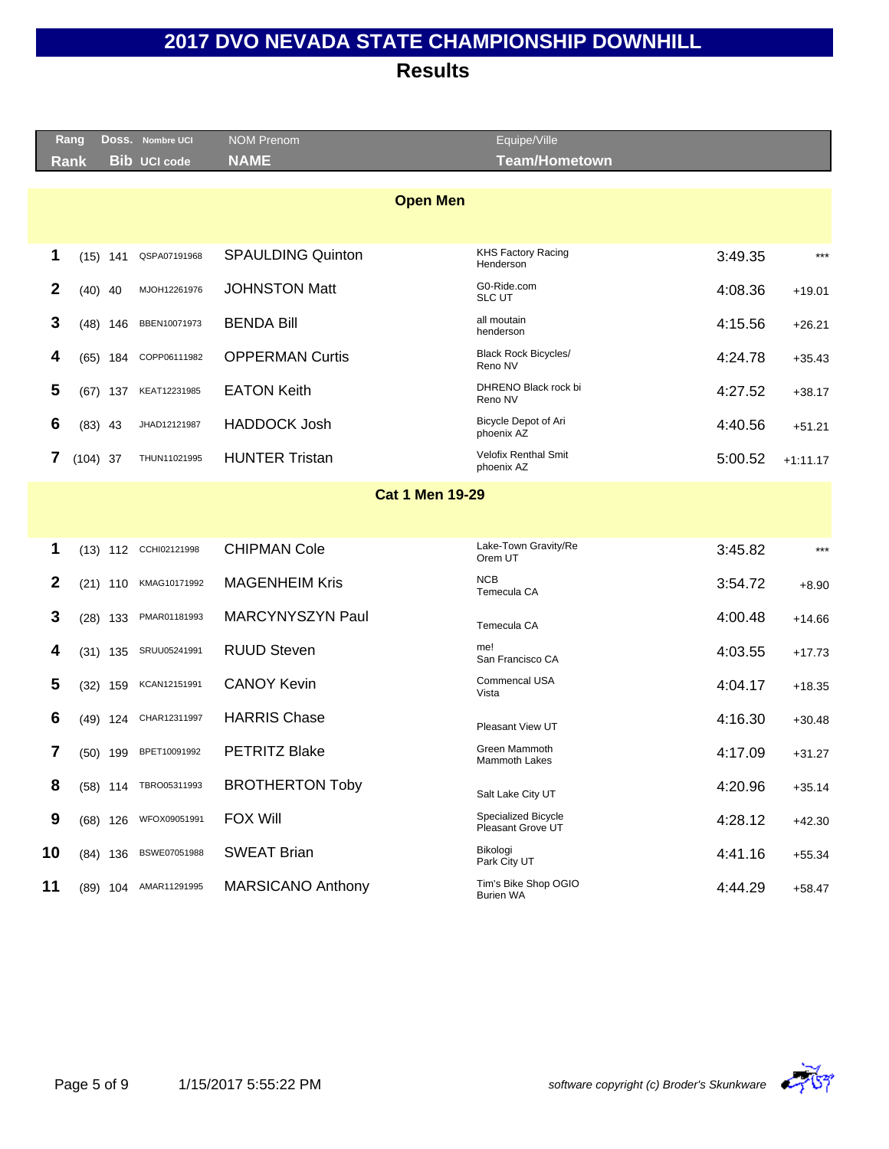**Results**

|    | Rang       |            | Doss. Nombre UCI      | <b>NOM Prenom</b>        | Equipe/Ville                                    |         |            |
|----|------------|------------|-----------------------|--------------------------|-------------------------------------------------|---------|------------|
|    | Rank       |            | <b>Bib UCI code</b>   | <b>NAME</b>              | <b>Team/Hometown</b>                            |         |            |
|    |            |            |                       | <b>Open Men</b>          |                                                 |         |            |
|    |            |            |                       |                          |                                                 |         |            |
|    |            |            |                       |                          | <b>KHS Factory Racing</b>                       |         | $***$      |
| 1  |            | $(15)$ 141 | QSPA07191968          | <b>SPAULDING Quinton</b> | Henderson                                       | 3:49.35 |            |
| 2  | $(40)$ 40  |            | MJOH12261976          | <b>JOHNSTON Matt</b>     | G0-Ride.com<br><b>SLC UT</b>                    | 4:08.36 | $+19.01$   |
| 3  |            | $(48)$ 146 | BBEN10071973          | <b>BENDA Bill</b>        | all moutain<br>henderson                        | 4:15.56 | $+26.21$   |
| 4  |            | $(65)$ 184 | COPP06111982          | <b>OPPERMAN Curtis</b>   | <b>Black Rock Bicycles/</b><br>Reno NV          | 4:24.78 | $+35.43$   |
| 5  |            | $(67)$ 137 | KEAT12231985          | <b>EATON Keith</b>       | DHRENO Black rock bi<br>Reno NV                 | 4:27.52 | $+38.17$   |
| 6  | $(83)$ 43  |            | JHAD12121987          | <b>HADDOCK Josh</b>      | Bicycle Depot of Ari<br>phoenix AZ              | 4:40.56 | $+51.21$   |
| 7  | $(104)$ 37 |            | THUN11021995          | <b>HUNTER Tristan</b>    | <b>Velofix Renthal Smit</b><br>phoenix AZ       | 5:00.52 | $+1:11.17$ |
|    |            |            |                       | <b>Cat 1 Men 19-29</b>   |                                                 |         |            |
|    |            |            |                       |                          |                                                 |         |            |
| 1  |            |            | (13) 112 CCHI02121998 | <b>CHIPMAN Cole</b>      | Lake-Town Gravity/Re<br>Orem UT                 | 3:45.82 | $***$      |
| 2  |            | $(21)$ 110 | KMAG10171992          | <b>MAGENHEIM Kris</b>    | <b>NCB</b><br>Temecula CA                       | 3:54.72 | $+8.90$    |
| 3  |            | $(28)$ 133 | PMAR01181993          | MARCYNYSZYN Paul         | Temecula CA                                     | 4:00.48 | $+14.66$   |
| 4  |            | $(31)$ 135 | SRUU05241991          | <b>RUUD Steven</b>       | me!<br>San Francisco CA                         | 4:03.55 | $+17.73$   |
| 5  |            | $(32)$ 159 | KCAN12151991          | <b>CANOY Kevin</b>       | Commencal USA<br>Vista                          | 4:04.17 | $+18.35$   |
| 6  |            | (49) 124   | CHAR12311997          | <b>HARRIS Chase</b>      | Pleasant View UT                                | 4:16.30 | $+30.48$   |
| 7  |            | $(50)$ 199 | BPET10091992          | <b>PETRITZ Blake</b>     | Green Mammoth<br><b>Mammoth Lakes</b>           | 4:17.09 | $+31.27$   |
| 8  |            |            | (58) 114 TBRO05311993 | <b>BROTHERTON Toby</b>   | Salt Lake City UT                               | 4:20.96 | $+35.14$   |
| 9  |            | $(68)$ 126 | WFOX09051991          | <b>FOX Will</b>          | <b>Specialized Bicycle</b><br>Pleasant Grove UT | 4:28.12 | $+42.30$   |
| 10 |            | $(84)$ 136 | BSWE07051988          | <b>SWEAT Brian</b>       | Bikologi<br>Park City UT                        | 4:41.16 | $+55.34$   |
| 11 |            |            | (89) 104 AMAR11291995 | <b>MARSICANO Anthony</b> | Tim's Bike Shop OGIO<br><b>Burien WA</b>        | 4:44.29 | $+58.47$   |
|    |            |            |                       |                          |                                                 |         |            |



Equiper and the contract of the contract of the contract of the contract of the contract of the contract of the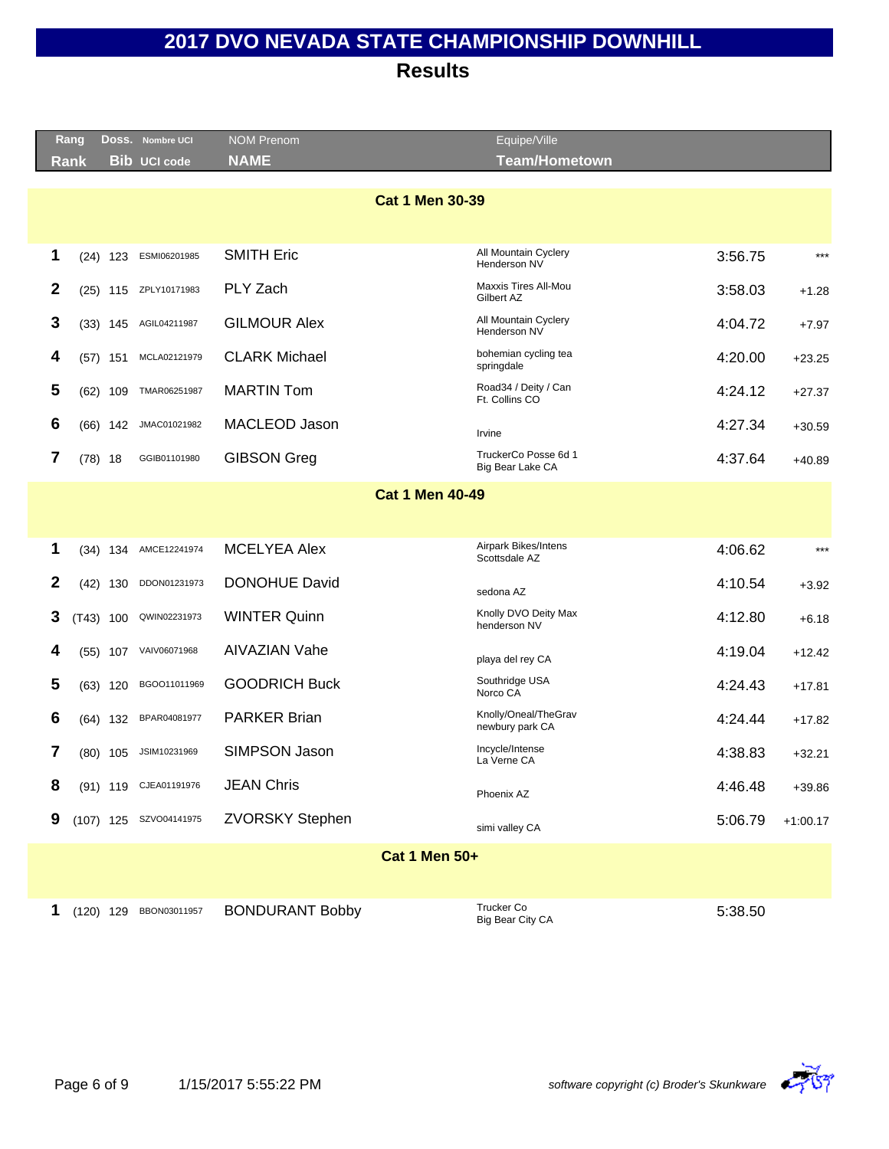|   | Rang        |            | DOSS. Nombre UCI       | <b>NOM Prenom</b>      | Equipe/Ville                             |         |            |  |  |  |  |
|---|-------------|------------|------------------------|------------------------|------------------------------------------|---------|------------|--|--|--|--|
|   | Rank        |            | <b>Bib UCI code</b>    | <b>NAME</b>            | <b>Team/Hometown</b>                     |         |            |  |  |  |  |
|   |             |            |                        | <b>Cat 1 Men 30-39</b> |                                          |         |            |  |  |  |  |
|   |             |            |                        |                        |                                          |         |            |  |  |  |  |
|   |             |            |                        |                        |                                          |         |            |  |  |  |  |
| 1 |             | $(24)$ 123 | ESMI06201985           | <b>SMITH Eric</b>      | All Mountain Cyclery<br>Henderson NV     | 3:56.75 | $***$      |  |  |  |  |
| 2 |             |            | (25) 115 ZPLY10171983  | PLY Zach               | Maxxis Tires All-Mou<br>Gilbert AZ       | 3:58.03 | $+1.28$    |  |  |  |  |
| 3 |             |            | (33) 145 AGIL04211987  | <b>GILMOUR Alex</b>    | All Mountain Cyclery<br>Henderson NV     | 4:04.72 | $+7.97$    |  |  |  |  |
| 4 |             | $(57)$ 151 | MCLA02121979           | <b>CLARK Michael</b>   | bohemian cycling tea<br>springdale       | 4:20.00 | $+23.25$   |  |  |  |  |
| 5 | (62)        | 109        | TMAR06251987           | <b>MARTIN Tom</b>      | Road34 / Deity / Can<br>Ft. Collins CO   | 4:24.12 | $+27.37$   |  |  |  |  |
| 6 |             | $(66)$ 142 | JMAC01021982           | MACLEOD Jason          | Irvine                                   | 4:27.34 | $+30.59$   |  |  |  |  |
| 7 | $(78)$ 18   |            | GGIB01101980           | <b>GIBSON Greg</b>     | TruckerCo Posse 6d 1<br>Big Bear Lake CA | 4:37.64 | $+40.89$   |  |  |  |  |
|   |             |            |                        | <b>Cat 1 Men 40-49</b> |                                          |         |            |  |  |  |  |
|   |             |            |                        |                        |                                          |         |            |  |  |  |  |
| 1 |             |            | (34) 134 AMCE12241974  | <b>MCELYEA Alex</b>    | Airpark Bikes/Intens<br>Scottsdale AZ    | 4:06.62 | $***$      |  |  |  |  |
| 2 |             | $(42)$ 130 | DDON01231973           | <b>DONOHUE David</b>   | sedona AZ                                | 4:10.54 | $+3.92$    |  |  |  |  |
| 3 | $(T43)$ 100 |            | QWIN02231973           | <b>WINTER Quinn</b>    | Knolly DVO Deity Max<br>henderson NV     | 4:12.80 | $+6.18$    |  |  |  |  |
| 4 | (55)        | 107        | VAIV06071968           | <b>AIVAZIAN Vahe</b>   | playa del rey CA                         | 4:19.04 | $+12.42$   |  |  |  |  |
| 5 |             | $(63)$ 120 | BGOO11011969           | <b>GOODRICH Buck</b>   | Southridge USA<br>Norco CA               | 4:24.43 | $+17.81$   |  |  |  |  |
| 6 |             |            | (64) 132 BPAR04081977  | <b>PARKER Brian</b>    | Knolly/Oneal/TheGrav<br>newbury park CA  | 4:24.44 | $+17.82$   |  |  |  |  |
| 7 |             |            | (80) 105 JSIM10231969  | SIMPSON Jason          | Incycle/Intense<br>La Verne CA           | 4:38.83 | $+32.21$   |  |  |  |  |
| 8 |             |            | (91) 119 CJEA01191976  | <b>JEAN Chris</b>      | Phoenix AZ                               | 4:46.48 | $+39.86$   |  |  |  |  |
| 9 |             |            | (107) 125 SZVO04141975 | <b>ZVORSKY Stephen</b> | simi valley CA                           | 5:06.79 | $+1:00.17$ |  |  |  |  |
|   |             |            |                        | <b>Cat 1 Men 50+</b>   |                                          |         |            |  |  |  |  |
|   |             |            |                        |                        |                                          |         |            |  |  |  |  |
| 1 |             |            | (120) 129 BBON03011957 | <b>BONDURANT Bobby</b> | <b>Trucker Co</b><br>Big Bear City CA    | 5:38.50 |            |  |  |  |  |

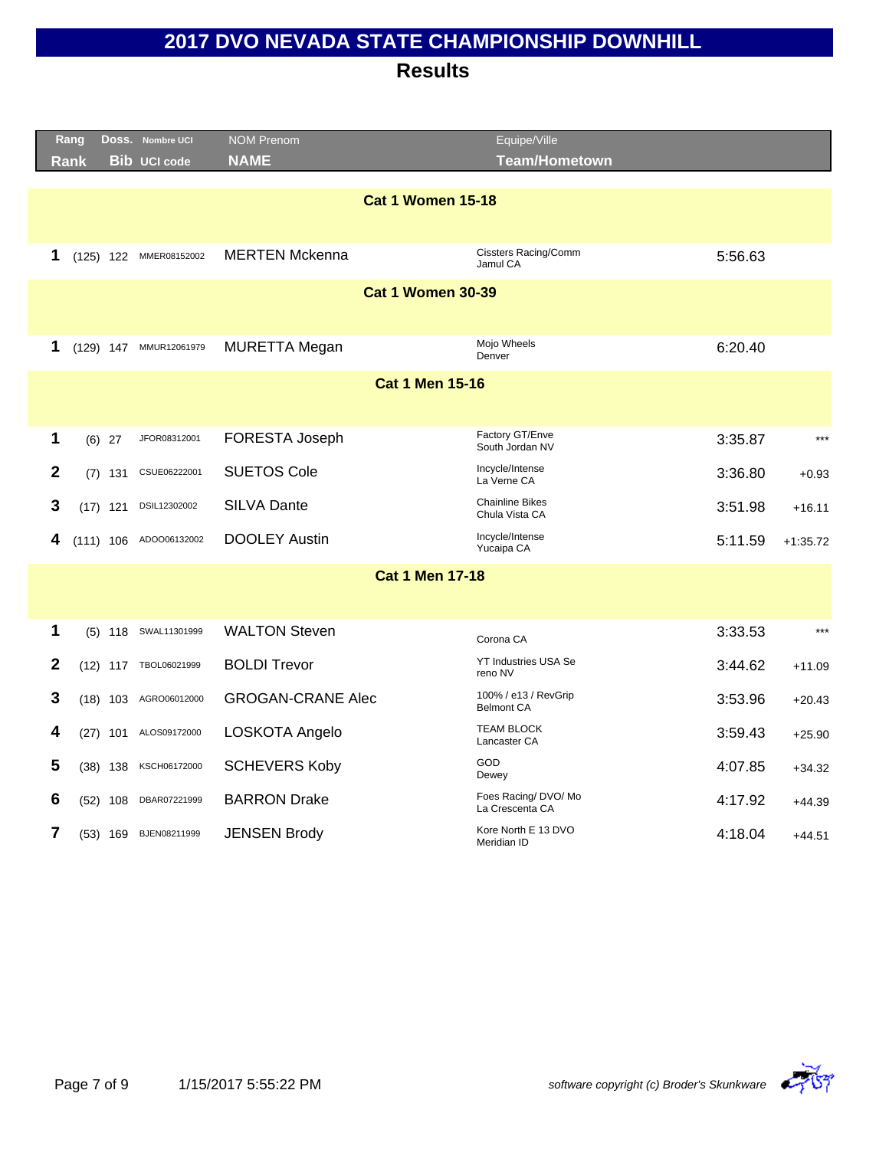|                | Rang        |            | DOSS. Nombre UCI       | <b>NOM Prenom</b>        | Equipe/Ville                              |         |            |
|----------------|-------------|------------|------------------------|--------------------------|-------------------------------------------|---------|------------|
|                | <b>Rank</b> |            | <b>Bib UCI code</b>    | <b>NAME</b>              | <b>Team/Hometown</b>                      |         |            |
|                |             |            |                        |                          |                                           |         |            |
|                |             |            |                        | <b>Cat 1 Women 15-18</b> |                                           |         |            |
|                |             |            |                        |                          |                                           |         |            |
| 1              |             |            | (125) 122 MMER08152002 | <b>MERTEN Mckenna</b>    | <b>Cissters Racing/Comm</b><br>Jamul CA   | 5:56.63 |            |
|                |             |            |                        | <b>Cat 1 Women 30-39</b> |                                           |         |            |
|                |             |            |                        |                          |                                           |         |            |
|                |             |            |                        |                          |                                           |         |            |
| 1              |             |            | (129) 147 MMUR12061979 | <b>MURETTA Megan</b>     | Mojo Wheels<br>Denver                     | 6:20.40 |            |
|                |             |            |                        | <b>Cat 1 Men 15-16</b>   |                                           |         |            |
|                |             |            |                        |                          |                                           |         |            |
|                |             |            |                        |                          | Factory GT/Enve                           |         |            |
| 1              |             | $(6)$ 27   | JFOR08312001           | FORESTA Joseph           | South Jordan NV                           | 3:35.87 | $***$      |
| $\mathbf{2}$   | (7)         | 131        | CSUE06222001           | <b>SUETOS Cole</b>       | Incycle/Intense<br>La Verne CA            | 3:36.80 | $+0.93$    |
| 3              |             | $(17)$ 121 | DSIL12302002           | <b>SILVA Dante</b>       | <b>Chainline Bikes</b><br>Chula Vista CA  | 3:51.98 | $+16.11$   |
| 4              |             |            | (111) 106 ADOO06132002 | <b>DOOLEY Austin</b>     | Incycle/Intense<br>Yucaipa CA             | 5:11.59 | $+1:35.72$ |
|                |             |            |                        |                          |                                           |         |            |
|                |             |            |                        | <b>Cat 1 Men 17-18</b>   |                                           |         |            |
|                |             |            |                        |                          |                                           |         |            |
| 1              |             |            | (5) 118 SWAL11301999   | <b>WALTON Steven</b>     | Corona CA                                 | 3:33.53 | $***$      |
| $\mathbf{2}$   |             |            | (12) 117 TBOL06021999  | <b>BOLDI Trevor</b>      | YT Industries USA Se<br>reno NV           | 3:44.62 | $+11.09$   |
| 3              |             |            | (18) 103 AGRO06012000  | <b>GROGAN-CRANE Alec</b> | 100% / e13 / RevGrip<br><b>Belmont CA</b> | 3:53.96 | $+20.43$   |
| 4              |             |            | (27) 101 ALOS09172000  | LOSKOTA Angelo           | <b>TEAM BLOCK</b><br>Lancaster CA         | 3:59.43 | $+25.90$   |
| 5              |             | $(38)$ 138 | KSCH06172000           | <b>SCHEVERS Koby</b>     | GOD<br>Dewey                              | 4:07.85 | $+34.32$   |
| 6              | (52)        | 108        | DBAR07221999           | <b>BARRON Drake</b>      | Foes Racing/ DVO/ Mo<br>La Crescenta CA   | 4:17.92 | $+44.39$   |
| $\overline{7}$ |             |            | (53) 169 BJEN08211999  | <b>JENSEN Brody</b>      | Kore North E 13 DVO<br>Meridian ID        | 4:18.04 | $+44.51$   |

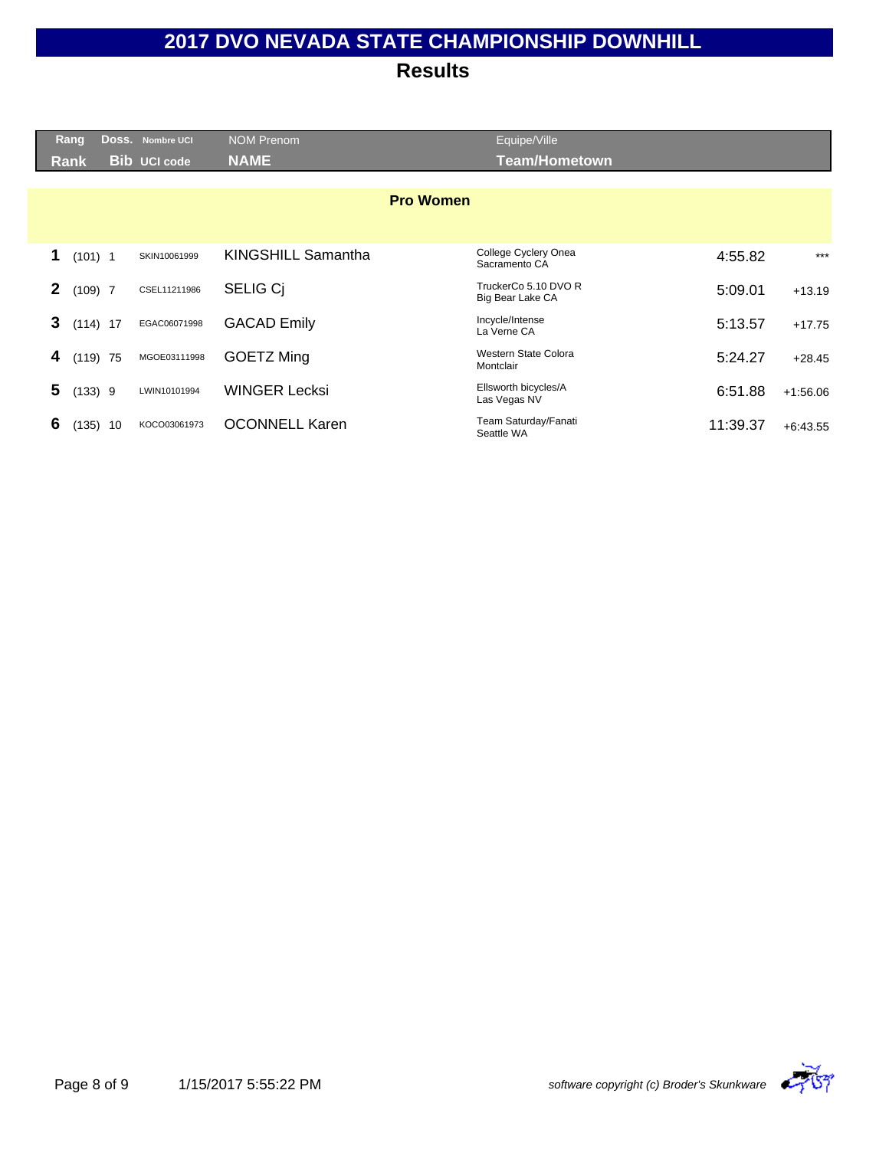| <b>Rang</b>  |             | Doss. Nombre UCI    | <b>NOM Prenom</b>         | Equipe/Ville                             |          |            |
|--------------|-------------|---------------------|---------------------------|------------------------------------------|----------|------------|
| Rank         |             | <b>Bib UCI code</b> | <b>NAME</b>               | <b>Team/Hometown</b>                     |          |            |
|              |             |                     |                           |                                          |          |            |
|              |             |                     | <b>Pro Women</b>          |                                          |          |            |
|              |             |                     |                           |                                          |          |            |
| 1            | $(101)$ 1   | SKIN10061999        | <b>KINGSHILL Samantha</b> | College Cyclery Onea<br>Sacramento CA    | 4:55.82  | $***$      |
| $\mathbf{2}$ | $(109)$ 7   | CSEL11211986        | <b>SELIG Ci</b>           | TruckerCo 5.10 DVO R<br>Big Bear Lake CA | 5:09.01  | $+13.19$   |
| 3            | $(114)$ 17  | EGAC06071998        | <b>GACAD Emily</b>        | Incycle/Intense<br>La Verne CA           | 5:13.57  | $+17.75$   |
| 4            | $(119)$ 75  | MGOE03111998        | GOETZ Ming                | Western State Colora<br>Montclair        | 5:24.27  | $+28.45$   |
| 5            | (133) 9     | LWIN10101994        | <b>WINGER Lecksi</b>      | Ellsworth bicycles/A<br>Las Vegas NV     | 6:51.88  | $+1:56.06$ |
| 6            | (135)<br>10 | KOCO03061973        | <b>OCONNELL Karen</b>     | Team Saturday/Fanati<br>Seattle WA       | 11:39.37 | $+6:43.55$ |